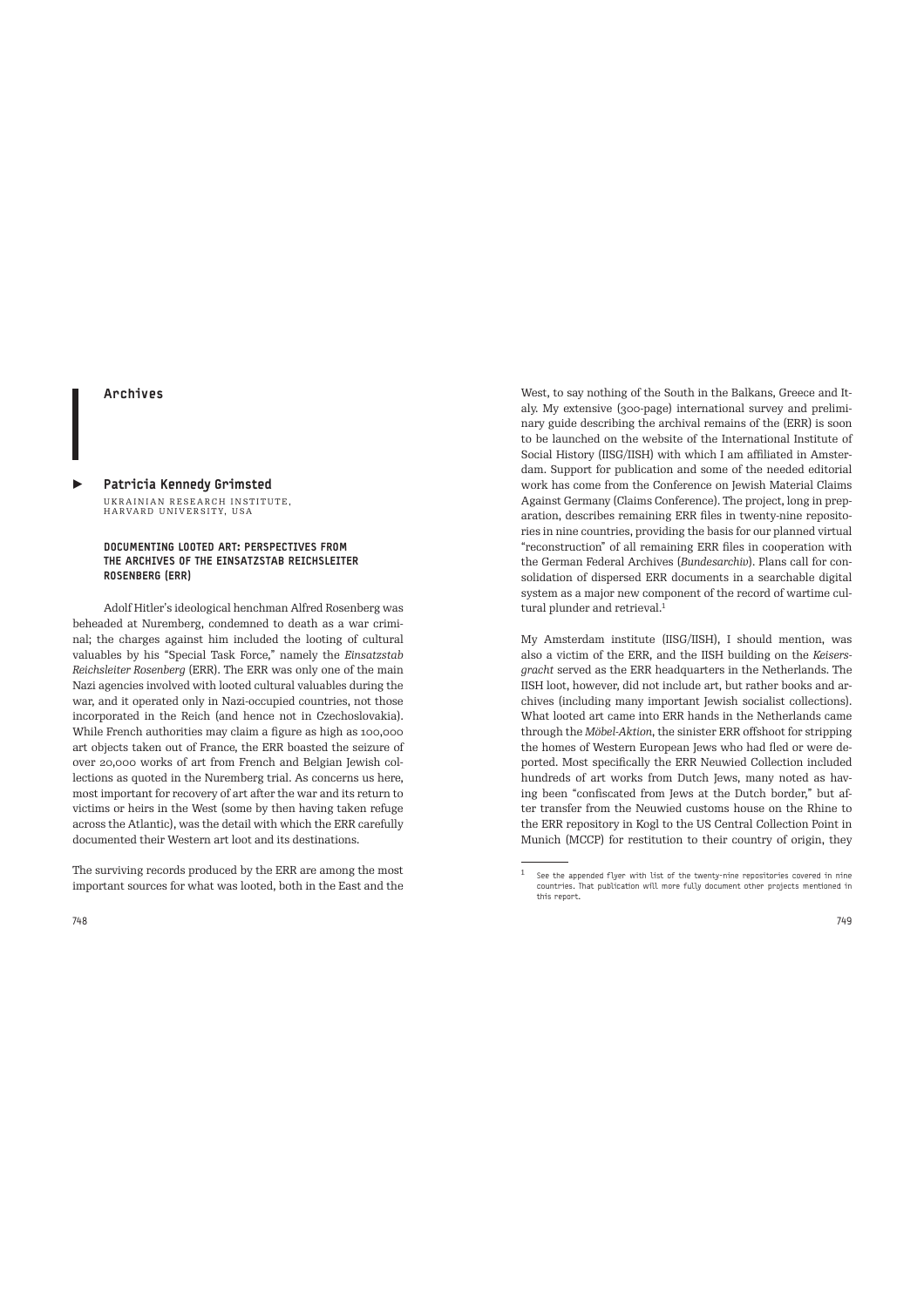## Archives

## Patricia Kennedy Grimsted UKRAINIAN RESEARCH INSTITUTE,<br>HARVARD UNIVERSITY, USA

## DOCUMENTING LOOTED ART: PERSPECTIVES FROM THE ARCHIVES OF THE EINSATZSTAB REICHSLEITER ROSENBERG (ERR)

Adolf Hitler's ideological henchman Alfred Rosenberg was beheaded at Nuremberg, condemned to death as a war criminal; the charges against him included the looting of cultural valuables by his "Special Task Force," namely the *Einsatzstab Reichsleiter Rosenberg* (ERR). The ERR was only one of the main Nazi agencies involved with looted cultural valuables during the war, and it operated only in Nazi-occupied countries, not those incorporated in the Reich (and hence not in Czechoslovakia). While French authorities may claim a figure as high as 100,000 art objects taken out of France, the ERR boasted the seizure of over 20,000 works of art from French and Belgian Jewish collections as quoted in the Nuremberg trial. As concerns us here, most important for recovery of art after the war and its return to victims or heirs in the West (some by then having taken refuge across the Atlantic), was the detail with which the ERR carefully documented their Western art loot and its destinations.

The surviving records produced by the ERR are among the most important sources for what was looted, both in the East and the West, to say nothing of the South in the Balkans, Greece and Italy. My extensive (300-page) international survey and preliminary guide describing the archival remains of the (ERR) is soon to be launched on the website of the International Institute of Social History (IISG/IISH) with which I am affiliated in Amsterdam. Support for publication and some of the needed editorial work has come from the Conference on Jewish Material Claims Against Germany (Claims Conference). The project, long in preparation, describes remaining ERR files in twenty-nine repositories in nine countries, providing the basis for our planned virtual "reconstruction" of all remaining ERR files in cooperation with the German Federal Archives (*Bundesarchiv*). Plans call for consolidation of dispersed ERR documents in a searchable digital system as a major new component of the record of wartime cultural plunder and retrieval.<sup>1</sup>

My Amsterdam institute (IISG/IISH), I should mention, was also a victim of the ERR, and the IISH building on the *Keisersgracht* served as the ERR headquarters in the Netherlands. The IISH loot, however, did not include art, but rather books and archives (including many important Jewish socialist collections). What looted art came into ERR hands in the Netherlands came through the *Möbel-Aktion*, the sinister ERR offshoot for stripping the homes of Western European Jews who had fled or were deported. Most specifically the ERR Neuwied Collection included hundreds of art works from Dutch Jews, many noted as having been "confiscated from Jews at the Dutch border," but after transfer from the Neuwied customs house on the Rhine to the ERR repository in Kogl to the US Central Collection Point in Munich (MCCP) for restitution to their country of origin, they

 $1$  See the appended flyer with list of the twenty-nine repositories covered in nine countries. That publication will more fully document other projects mentioned in this report.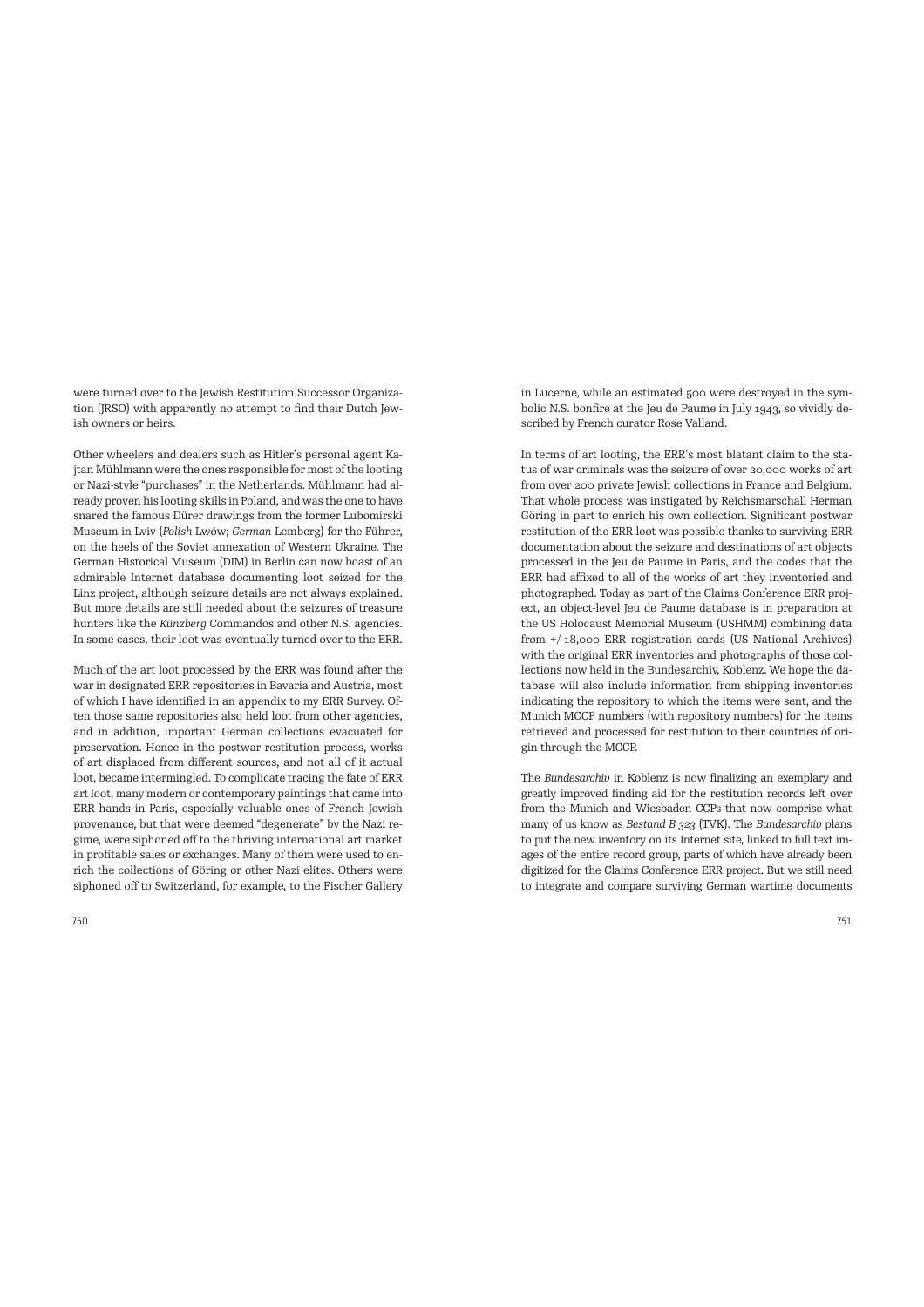were turned over to the Jewish Restitution Successor Organization (JRSO) with apparently no attempt to find their Dutch Jewish owners or heirs.

Other wheelers and dealers such as Hitler's personal agent Kajtan Mühlmann were the ones responsible for most of the looting or Nazi-style "purchases" in the Netherlands. Mühlmann had already proven his looting skills in Poland, and was the one to have snared the famous Dürer drawings from the former Lubomirski Museum in Lviv (*Polish* Lwów; *German* Lemberg) for the Führer, on the heels of the Soviet annexation of Western Ukraine. The German Historical Museum (DIM) in Berlin can now boast of an admirable Internet database documenting loot seized for the Linz project, although seizure details are not always explained. But more details are still needed about the seizures of treasure hunters like the *Künzberg* Commandos and other N.S. agencies. In some cases, their loot was eventually turned over to the ERR.

Much of the art loot processed by the ERR was found after the war in designated ERR repositories in Bavaria and Austria, most of which I have identified in an appendix to my ERR Survey. Often those same repositories also held loot from other agencies, and in addition, important German collections evacuated for preservation. Hence in the postwar restitution process, works of art displaced from different sources, and not all of it actual loot, became intermingled. To complicate tracing the fate of ERR art loot, many modern or contemporary paintings that came into ERR hands in Paris, especially valuable ones of French Jewish provenance, but that were deemed "degenerate" by the Nazi regime, were siphoned off to the thriving international art market in profitable sales or exchanges. Many of them were used to enrich the collections of Göring or other Nazi elites. Others were siphoned off to Switzerland, for example, to the Fischer Gallery in Lucerne, while an estimated 500 were destroyed in the symbolic N.S. bonfire at the Jeu de Paume in July 1943, so vividly described by French curator Rose Valland.

In terms of art looting, the ERR's most blatant claim to the status of war criminals was the seizure of over 20,000 works of art from over 200 private Jewish collections in France and Belgium. That whole process was instigated by Reichsmarschall Herman Göring in part to enrich his own collection. Significant postwar restitution of the ERR loot was possible thanks to surviving ERR documentation about the seizure and destinations of art objects processed in the Jeu de Paume in Paris, and the codes that the ERR had affixed to all of the works of art they inventoried and photographed. Today as part of the Claims Conference ERR project, an object-level Jeu de Paume database is in preparation at the US Holocaust Memorial Museum (USHMM) combining data from +/-18,000 ERR registration cards (US National Archives) with the original ERR inventories and photographs of those collections now held in the Bundesarchiv, Koblenz. We hope the database will also include information from shipping inventories indicating the repository to which the items were sent, and the Munich MCCP numbers (with repository numbers) for the items retrieved and processed for restitution to their countries of origin through the MCCP.

The *Bundesarchiv* in Koblenz is now finalizing an exemplary and greatly improved finding aid for the restitution records left over from the Munich and Wiesbaden CCPs that now comprise what many of us know as *Bestand B 323* (TVK). The *Bundesarchiv* plans to put the new inventory on its Internet site, linked to full text images of the entire record group, parts of which have already been digitized for the Claims Conference ERR project. But we still need to integrate and compare surviving German wartime documents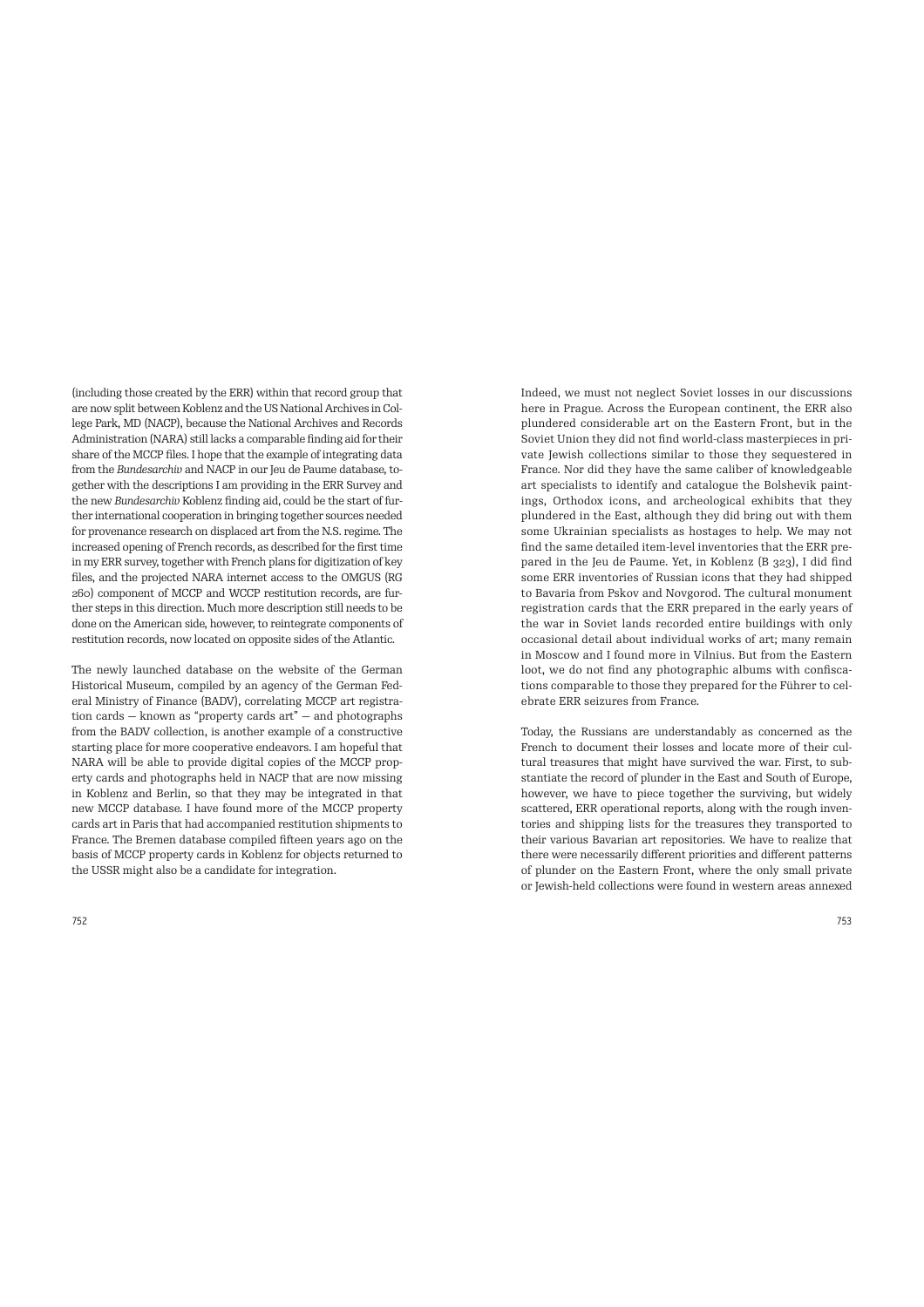(including those created by the ERR) within that record group that are now split between Koblenz and the US National Archives in College Park, MD (NACP), because the National Archives and Records Administration (NARA) still lacks a comparable finding aid for their share of the MCCP files. I hope that the example of integrating data from the *Bundesarchiv* and NACP in our Jeu de Paume database, together with the descriptions I am providing in the ERR Survey and the new *Bundesarchiv* Koblenz finding aid, could be the start of further international cooperation in bringing together sources needed for provenance research on displaced art from the N.S. regime. The increased opening of French records, as described for the first time in my ERR survey, together with French plans for digitization of key files, and the projected NARA internet access to the OMGUS (RG 260) component of MCCP and WCCP restitution records, are further steps in this direction. Much more description still needs to be done on the American side, however, to reintegrate components of restitution records, now located on opposite sides of the Atlantic.

The newly launched database on the website of the German Historical Museum, compiled by an agency of the German Federal Ministry of Finance (BADV), correlating MCCP art registration cards — known as "property cards art" — and photographs from the BADV collection, is another example of a constructive starting place for more cooperative endeavors. I am hopeful that NARA will be able to provide digital copies of the MCCP property cards and photographs held in NACP that are now missing in Koblenz and Berlin, so that they may be integrated in that new MCCP database. I have found more of the MCCP property cards art in Paris that had accompanied restitution shipments to France. The Bremen database compiled fifteen years ago on the basis of MCCP property cards in Koblenz for objects returned to the USSR might also be a candidate for integration.

Indeed, we must not neglect Soviet losses in our discussions here in Prague. Across the European continent, the ERR also plundered considerable art on the Eastern Front, but in the Soviet Union they did not find world-class masterpieces in private Jewish collections similar to those they sequestered in France. Nor did they have the same caliber of knowledgeable art specialists to identify and catalogue the Bolshevik paintings, Orthodox icons, and archeological exhibits that they plundered in the East, although they did bring out with them some Ukrainian specialists as hostages to help. We may not find the same detailed item-level inventories that the ERR prepared in the Jeu de Paume. Yet, in Koblenz (B 323), I did find some ERR inventories of Russian icons that they had shipped to Bavaria from Pskov and Novgorod. The cultural monument registration cards that the ERR prepared in the early years of the war in Soviet lands recorded entire buildings with only occasional detail about individual works of art; many remain in Moscow and I found more in Vilnius. But from the Eastern loot, we do not find any photographic albums with confiscations comparable to those they prepared for the Führer to celebrate ERR seizures from France.

Today, the Russians are understandably as concerned as the French to document their losses and locate more of their cultural treasures that might have survived the war. First, to substantiate the record of plunder in the East and South of Europe, however, we have to piece together the surviving, but widely scattered, ERR operational reports, along with the rough inventories and shipping lists for the treasures they transported to their various Bavarian art repositories. We have to realize that there were necessarily different priorities and different patterns of plunder on the Eastern Front, where the only small private or Jewish-held collections were found in western areas annexed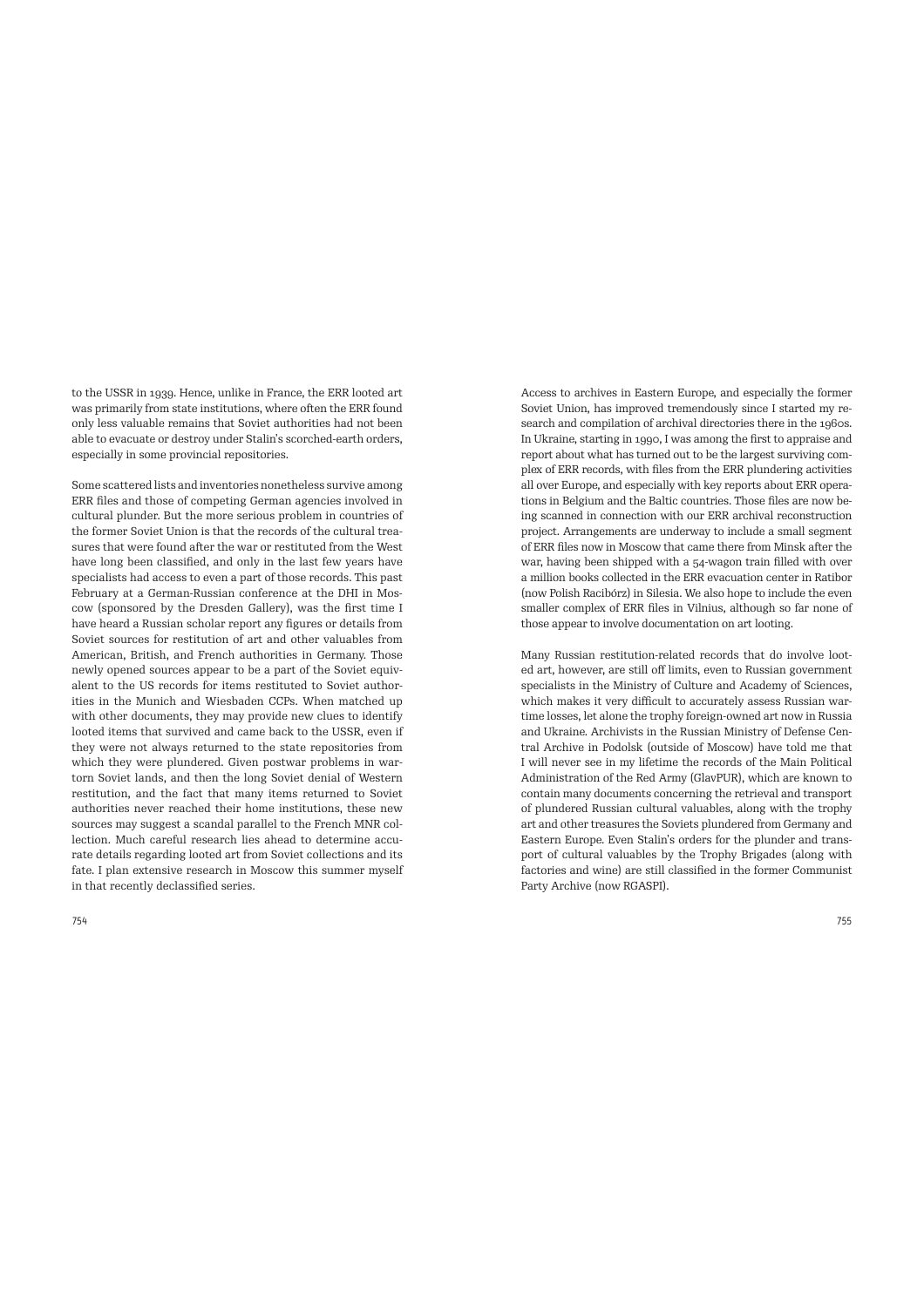to the USSR in 1939. Hence, unlike in France, the ERR looted art was primarily from state institutions, where often the ERR found only less valuable remains that Soviet authorities had not been able to evacuate or destroy under Stalin's scorched-earth orders, especially in some provincial repositories.

Some scattered lists and inventories nonetheless survive among ERR files and those of competing German agencies involved in cultural plunder. But the more serious problem in countries of the former Soviet Union is that the records of the cultural treasures that were found after the war or restituted from the West have long been classified, and only in the last few years have specialists had access to even a part of those records. This past February at a German-Russian conference at the DHI in Moscow (sponsored by the Dresden Gallery), was the first time I have heard a Russian scholar report any figures or details from Soviet sources for restitution of art and other valuables from American, British, and French authorities in Germany. Those newly opened sources appear to be a part of the Soviet equivalent to the US records for items restituted to Soviet authorities in the Munich and Wiesbaden CCPs. When matched up with other documents, they may provide new clues to identify looted items that survived and came back to the USSR, even if they were not always returned to the state repositories from which they were plundered. Given postwar problems in wartorn Soviet lands, and then the long Soviet denial of Western restitution, and the fact that many items returned to Soviet authorities never reached their home institutions, these new sources may suggest a scandal parallel to the French MNR collection. Much careful research lies ahead to determine accurate details regarding looted art from Soviet collections and its fate. I plan extensive research in Moscow this summer myself in that recently declassified series.

Access to archives in Eastern Europe, and especially the former Soviet Union, has improved tremendously since I started my research and compilation of archival directories there in the 1960s. In Ukraine, starting in 1990, I was among the first to appraise and report about what has turned out to be the largest surviving complex of ERR records, with files from the ERR plundering activities all over Europe, and especially with key reports about ERR operations in Belgium and the Baltic countries. Those files are now being scanned in connection with our ERR archival reconstruction project. Arrangements are underway to include a small segment of ERR files now in Moscow that came there from Minsk after the war, having been shipped with a 54-wagon train filled with over a million books collected in the ERR evacuation center in Ratibor (now Polish Racibórz) in Silesia. We also hope to include the even smaller complex of ERR files in Vilnius, although so far none of those appear to involve documentation on art looting.

Many Russian restitution-related records that do involve looted art, however, are still off limits, even to Russian government specialists in the Ministry of Culture and Academy of Sciences, which makes it very difficult to accurately assess Russian wartime losses, let alone the trophy foreign-owned art now in Russia and Ukraine. Archivists in the Russian Ministry of Defense Central Archive in Podolsk (outside of Moscow) have told me that I will never see in my lifetime the records of the Main Political Administration of the Red Army (GlavPUR), which are known to contain many documents concerning the retrieval and transport of plundered Russian cultural valuables, along with the trophy art and other treasures the Soviets plundered from Germany and Eastern Europe. Even Stalin's orders for the plunder and transport of cultural valuables by the Trophy Brigades (along with factories and wine) are still classified in the former Communist Party Archive (now RGASPI).